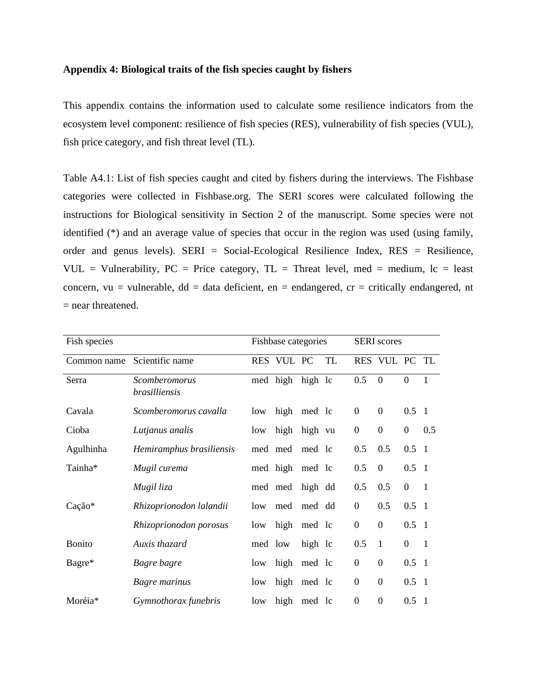## **Appendix 4: Biological traits of the fish species caught by fishers**

This appendix contains the information used to calculate some resilience indicators from the ecosystem level component: resilience of fish species (RES), vulnerability of fish species (VUL), fish price category, and fish threat level (TL).

Table A4.1: List of fish species caught and cited by fishers during the interviews. The Fishbase categories were collected in Fishbase.org. The SERI scores were calculated following the instructions for Biological sensitivity in Section 2 of the manuscript. Some species were not identified (\*) and an average value of species that occur in the region was used (using family, order and genus levels). SERI = Social-Ecological Resilience Index, RES = Resilience, VUL = Vulnerability,  $PC = Price$  category,  $TL = Thread$  level, med = medium,  $lc = least$ concern, vu = vulnerable,  $dd = data$  deficient, en = endangered, cr = critically endangered, nt = near threatened.

| Fish species  |                                       |     | Fishbase categories |         |           |                  | <b>SERI</b> scores |                  |                |  |
|---------------|---------------------------------------|-----|---------------------|---------|-----------|------------------|--------------------|------------------|----------------|--|
| Common name   | Scientific name                       |     | RES VUL PC          |         | <b>TL</b> |                  | RES VUL PC TL      |                  |                |  |
| Serra         | Scomberomorus<br><i>brasilliensis</i> |     | med high            | high lc |           | 0.5              | $\theta$           | $\boldsymbol{0}$ | $\mathbf{1}$   |  |
| Cavala        | Scomberomorus cavalla                 | low | high                | med lc  |           | $\mathbf{0}$     | $\boldsymbol{0}$   | $0.5 \quad 1$    |                |  |
| Cioba         | Lutjanus analis                       | low | high                | high vu |           | $\boldsymbol{0}$ | $\boldsymbol{0}$   | $\boldsymbol{0}$ | 0.5            |  |
| Agulhinha     | Hemiramphus brasiliensis              |     | med med             | med lc  |           | 0.5              | 0.5                | $0.5 \quad 1$    |                |  |
| Tainha*       | Mugil curema                          |     | med high med lc     |         |           | 0.5              | $\overline{0}$     | $0.5 \quad 1$    |                |  |
|               | Mugil liza                            |     | med med high dd     |         |           | 0.5              | 0.5                | $\boldsymbol{0}$ | $\overline{1}$ |  |
| Cação*        | Rhizoprionodon lalandii               | low | med                 | med dd  |           | $\boldsymbol{0}$ | 0.5                | $0.5 \quad 1$    |                |  |
|               | Rhizoprionodon porosus                | low | high                | med lc  |           | $\overline{0}$   | $\boldsymbol{0}$   | $0.5 \quad 1$    |                |  |
| <b>Bonito</b> | Auxis thazard                         |     | med low             | high lc |           | 0.5              | $\mathbf{1}$       | $\boldsymbol{0}$ | $\overline{1}$ |  |
| Bagre*        | Bagre bagre                           | low | high                | med lc  |           | $\boldsymbol{0}$ | $\boldsymbol{0}$   | $0.5 \quad 1$    |                |  |
|               | Bagre marinus                         | low | high                | med lc  |           | $\boldsymbol{0}$ | $\mathbf{0}$       | $0.5 \quad 1$    |                |  |
| Moréia*       | Gymnothorax funebris                  | low | high                | med lc  |           | $\overline{0}$   | $\boldsymbol{0}$   | $0.5 \quad 1$    |                |  |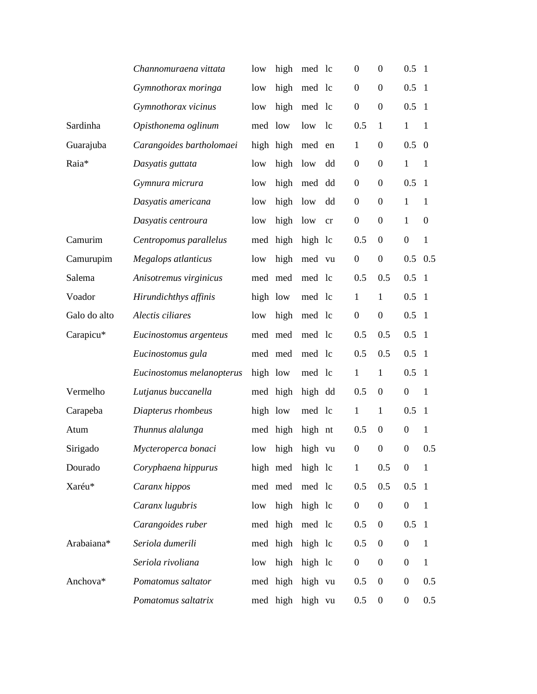|              | Channomuraena vittata     | low      | high             | med lc  |    | $\overline{0}$   | $\boldsymbol{0}$ | $0.5 \quad 1$    |                  |
|--------------|---------------------------|----------|------------------|---------|----|------------------|------------------|------------------|------------------|
|              | Gymnothorax moringa       | low      | high             | med lc  |    | $\boldsymbol{0}$ | $\mathbf{0}$     | 0.5              | $\overline{1}$   |
|              | Gymnothorax vicinus       | low      | high             | med lc  |    | $\boldsymbol{0}$ | $\mathbf{0}$     | $0.5 \quad 1$    |                  |
| Sardinha     | Opisthonema oglinum       | med low  |                  | low lc  |    | 0.5              | $\mathbf{1}$     | $\mathbf{1}$     | $\mathbf{1}$     |
| Guarajuba    | Carangoides bartholomaei  |          | high high        | med     | en | 1                | $\mathbf{0}$     | $0.5 \quad 0$    |                  |
| Raia*        | Dasyatis guttata          | low      | high             | low     | dd | $\boldsymbol{0}$ | $\boldsymbol{0}$ | $\mathbf{1}$     | $\mathbf{1}$     |
|              | Gymnura micrura           | low      | high             | med     | dd | $\boldsymbol{0}$ | $\mathbf{0}$     | 0.5              | $\overline{1}$   |
|              | Dasyatis americana        | low      | high             | low     | dd | $\boldsymbol{0}$ | $\boldsymbol{0}$ | $\mathbf{1}$     | $\mathbf{1}$     |
|              | Dasyatis centroura        | low      | high             | low     | cr | $\boldsymbol{0}$ | $\boldsymbol{0}$ | $\mathbf{1}$     | $\boldsymbol{0}$ |
| Camurim      | Centropomus parallelus    |          | med high         | high lc |    | 0.5              | $\boldsymbol{0}$ | $\boldsymbol{0}$ | $\mathbf{1}$     |
| Camurupim    | Megalops atlanticus       | low      | high             | med vu  |    | $\boldsymbol{0}$ | $\boldsymbol{0}$ | $0.5$ 0.5        |                  |
| Salema       | Anisotremus virginicus    |          | med med          | med lc  |    | 0.5              | 0.5              | 0.5              | $\overline{1}$   |
| Voador       | Hirundichthys affinis     | high low |                  | med lc  |    | $\mathbf{1}$     | $\mathbf{1}$     | $0.5 \quad 1$    |                  |
| Galo do alto | Alectis ciliares          | low      | high             | med lc  |    | $\boldsymbol{0}$ | $\boldsymbol{0}$ | $0.5 \quad 1$    |                  |
| Carapicu*    | Eucinostomus argenteus    |          | med med          | med lc  |    | 0.5              | 0.5              | $0.5 \quad 1$    |                  |
|              | Eucinostomus gula         |          | med med          | med lc  |    | 0.5              | 0.5              | $0.5 \quad 1$    |                  |
|              | Eucinostomus melanopterus | high low |                  | med lc  |    | $\mathbf{1}$     | $\mathbf{1}$     | $0.5 \quad 1$    |                  |
| Vermelho     | Lutjanus buccanella       |          | med high         | high dd |    | 0.5              | $\mathbf{0}$     | $\boldsymbol{0}$ | $\mathbf{1}$     |
| Carapeba     | Diapterus rhombeus        | high low |                  | med lc  |    | $\mathbf{1}$     | $\mathbf{1}$     | $0.5 \quad 1$    |                  |
| Atum         | Thunnus alalunga          |          | med high high nt |         |    | 0.5              | $\boldsymbol{0}$ | $\boldsymbol{0}$ | $\mathbf{1}$     |
| Sirigado     | Mycteroperca bonaci       | low      | high             | high vu |    | $\boldsymbol{0}$ | $\boldsymbol{0}$ | $\boldsymbol{0}$ | 0.5              |
| Dourado      | Coryphaena hippurus       |          | high med high lc |         |    | $\mathbf{1}$     | 0.5              | $\boldsymbol{0}$ | $\mathbf{1}$     |
| Xaréu*       | Caranx hippos             |          | med med          | med lc  |    | 0.5              | 0.5              | $0.5 \quad 1$    |                  |
|              | Caranx lugubris           | low      | high high lc     |         |    | $\boldsymbol{0}$ | $\boldsymbol{0}$ | $\boldsymbol{0}$ | $\mathbf{1}$     |
|              | Carangoides ruber         |          | med high med lc  |         |    | 0.5              | $\boldsymbol{0}$ | $0.5 \quad 1$    |                  |
| Arabaiana*   | Seriola dumerili          |          | med high high lc |         |    | 0.5              | $\boldsymbol{0}$ | $\boldsymbol{0}$ | $\mathbf{1}$     |
|              | Seriola rivoliana         |          | low high high lc |         |    | $\boldsymbol{0}$ | $\boldsymbol{0}$ | $\boldsymbol{0}$ | $\mathbf{1}$     |
| Anchova*     | Pomatomus saltator        |          | med high high vu |         |    | 0.5              | $\boldsymbol{0}$ | $\boldsymbol{0}$ | 0.5              |
|              | Pomatomus saltatrix       |          | med high high vu |         |    | 0.5              | $\boldsymbol{0}$ | $\boldsymbol{0}$ | 0.5              |